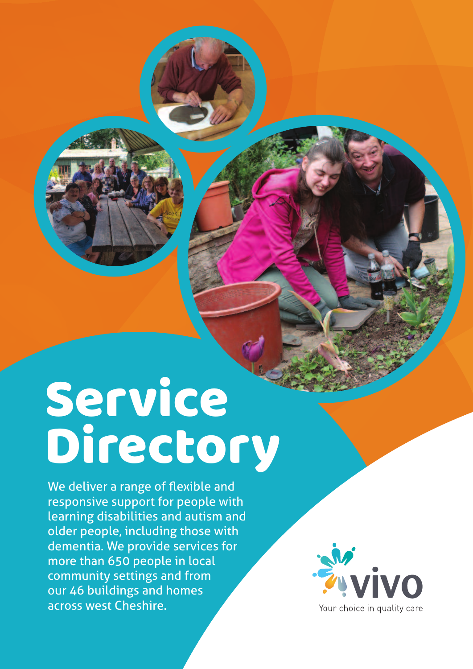# **Service** Directory

We deliver a range of flexible and responsive support for people with learning disabilities and autism and older people, including those with dementia. We provide services for more than 650 people in local community settings and from our 46 buildings and homes across west Cheshire.

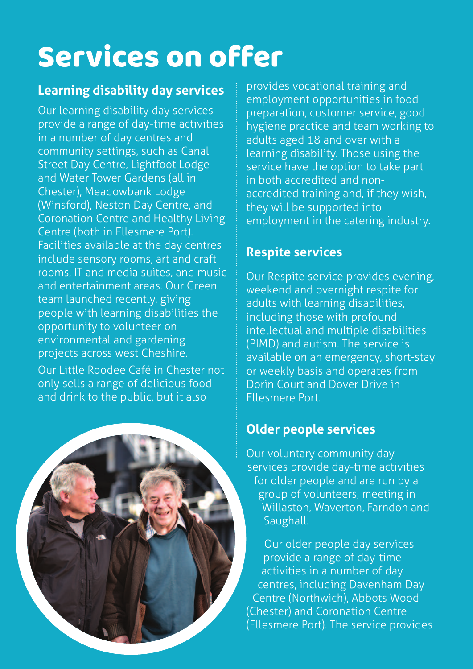### Services on offer

#### **Learning disability day services**

Our learning disability day services provide a range of day-time activities in a number of day centres and community settings, such as Canal Street Day Centre, Lightfoot Lodge and Water Tower Gardens (all in Chester), Meadowbank Lodge (Winsford), Neston Day Centre, and Coronation Centre and Healthy Living Centre (both in Ellesmere Port). Facilities available at the day centres include sensory rooms, art and craft rooms, IT and media suites, and music and entertainment areas. Our Green team launched recently, giving people with learning disabilities the opportunity to volunteer on environmental and gardening projects across west Cheshire.

Our Little Roodee Café in Chester not only sells a range of delicious food and drink to the public, but it also



provides vocational training and employment opportunities in food preparation, customer service, good hygiene practice and team working to adults aged 18 and over with a learning disability. Those using the service have the option to take part in both accredited and nonaccredited training and, if they wish, they will be supported into employment in the catering industry.

#### **Respite services**

Our Respite service provides evening, weekend and overnight respite for adults with learning disabilities, including those with profound intellectual and multiple disabilities (PIMD) and autism. The service is available on an emergency, short-stay or weekly basis and operates from Dorin Court and Dover Drive in Ellesmere Port.

#### **Older people services**

Our voluntary community day services provide day-time activities for older people and are run by a group of volunteers, meeting in Willaston, Waverton, Farndon and Saughall.

Our older people day services provide a range of day-time activities in a number of day centres, including Davenham Day Centre (Northwich), Abbots Wood (Chester) and Coronation Centre (Ellesmere Port). The service provides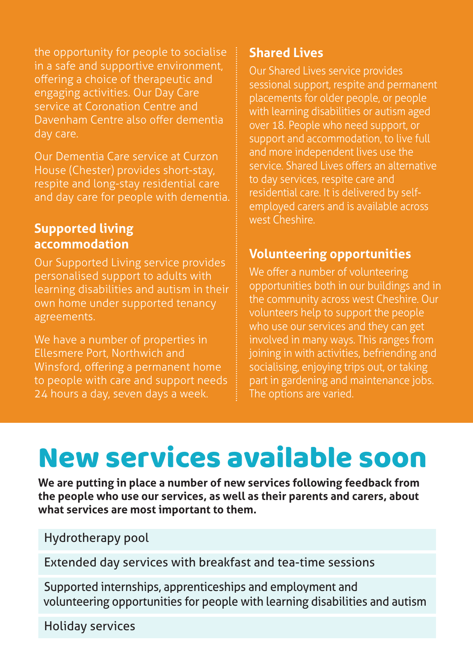the opportunity for people to socialise in a safe and supportive environment, offering a choice of therapeutic and engaging activities. Our Day Care service at Coronation Centre and Davenham Centre also offer dementia day care.

Our Dementia Care service at Curzon House (Chester) provides short-stay, respite and long-stay residential care and day care for people with dementia.

#### **Supported living accommodation**

Our Supported Living service provides personalised support to adults with learning disabilities and autism in their own home under supported tenancy agreements.

We have a number of properties in Ellesmere Port, Northwich and Winsford, offering a permanent home to people with care and support needs 24 hours a day, seven days a week.

#### **Shared Lives**

Our Shared Lives service provides sessional support, respite and permanent placements for older people, or people with learning disabilities or autism aged over 18. People who need support, or support and accommodation, to live full and more independent lives use the service. Shared Lives offers an alternative to day services, respite care and residential care. It is delivered by selfemployed carers and is available across west Cheshire.

#### **Volunteering opportunities**

We offer a number of volunteering opportunities both in our buildings and in the community across west Cheshire. Our volunteers help to support the people who use our services and they can get involved in many ways. This ranges from joining in with activities, befriending and socialising, enjoying trips out, or taking part in gardening and maintenance jobs. The options are varied.

### New services available soon

**We are putting in place a number of new services following feedback from the people who use our services, as well as their parents and carers, about what services are most important to them.**

Hydrotherapy pool

Extended day services with breakfast and tea-time sessions

Supported internships, apprenticeships and employment and volunteering opportunities for people with learning disabilities and autism

Holiday services